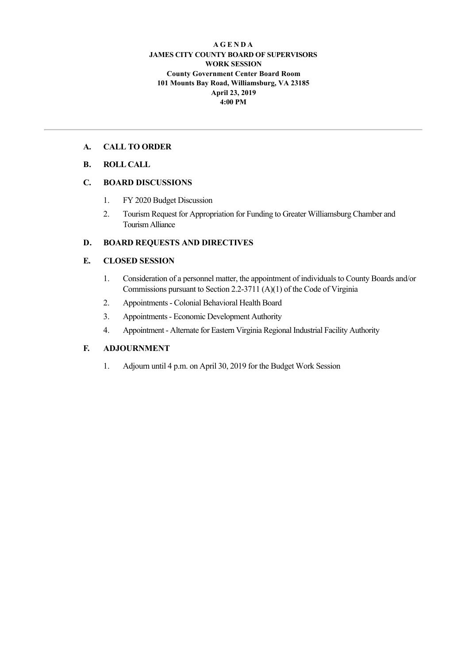#### **A G E N D A JAMES CITY COUNTY BOARD OF SUPERVISORS WORK SESSION County Government Center Board Room 101 Mounts Bay Road, Williamsburg, VA 23185 April 23, 2019 4:00 PM**

#### **A. CALL TO ORDER**

## **B. ROLL CALL**

## **C. BOARD DISCUSSIONS**

- 1. FY 2020 Budget Discussion
- 2. Tourism Request for Appropriation for Funding to Greater Williamsburg Chamber and Tourism Alliance

## **D. BOARD REQUESTS AND DIRECTIVES**

## **E. CLOSED SESSION**

- 1. Consideration of a personnel matter, the appointment of individuals to County Boards and/or Commissions pursuant to Section 2.2-3711  $(A)(1)$  of the Code of Virginia
- 2. Appointments Colonial Behavioral Health Board
- 3. Appointments Economic Development Authority
- 4. Appointment Alternate for Eastern Virginia Regional Industrial Facility Authority

### **F. ADJOURNMENT**

1. Adjourn until 4 p.m. on April 30, 2019 for the Budget Work Session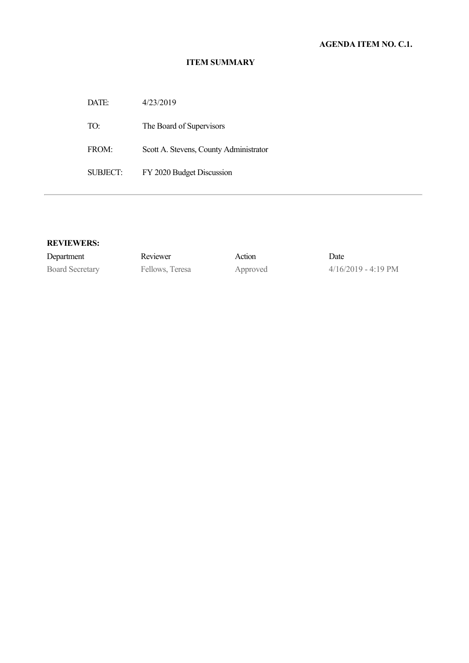DATE: 4/23/2019 TO: The Board of Supervisors FROM: Scott A. Stevens, County Administrator SUBJECT: FY 2020 Budget Discussion

#### **REVIEWERS:**

| Department             | Reviewer        | Action   | Date                          |
|------------------------|-----------------|----------|-------------------------------|
| <b>Board Secretary</b> | Fellows, Teresa | Approved | $4/16/2019 - 4:19 \text{ PM}$ |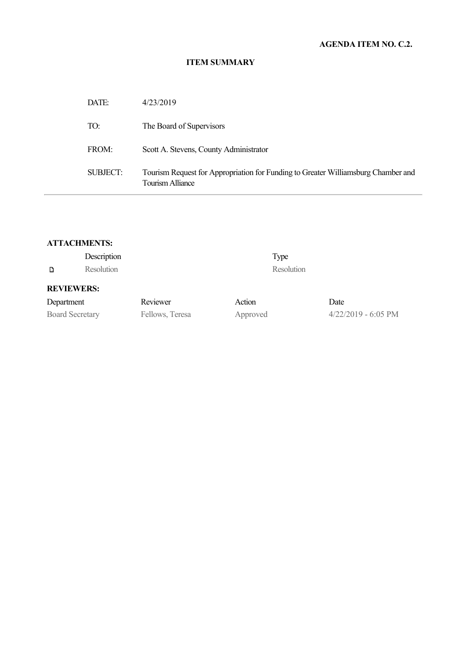# **AGENDA ITEM NO. C.2.**

#### **ITEM SUMMARY**

| DATE:    | 4/23/2019                                                                                             |
|----------|-------------------------------------------------------------------------------------------------------|
| TO:      | The Board of Supervisors                                                                              |
| FROM:    | Scott A. Stevens, County Administrator                                                                |
| SUBJECT: | Tourism Request for Appropriation for Funding to Greater Williamsburg Chamber and<br>Tourism Alliance |

| <b>ATTACHMENTS:</b>    |                          |                 |          |      |                       |  |
|------------------------|--------------------------|-----------------|----------|------|-----------------------|--|
|                        | Description              |                 |          | Type |                       |  |
| D                      | Resolution<br>Resolution |                 |          |      |                       |  |
| <b>REVIEWERS:</b>      |                          |                 |          |      |                       |  |
| Department             |                          | Reviewer        | Action   |      | Date                  |  |
| <b>Board Secretary</b> |                          | Fellows, Teresa | Approved |      | $4/22/2019 - 6:05$ PM |  |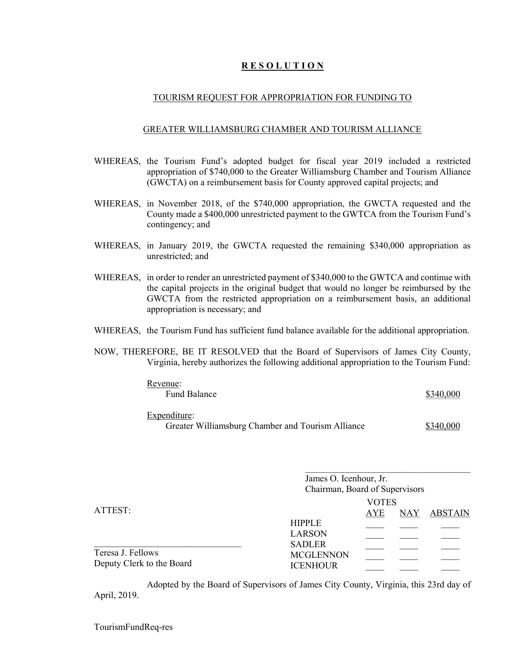### **RESOLUTION**

#### TOURISM REQUEST FOR APPROPRIATION FOR FUNDING TO

#### GREATER WILLIAMSBURG CHAMBER AND TOURISM ALLIANCE

- WHEREAS, the Tourism Fund's adopted budget for fiscal year 2019 included a restricted appropriation of \$740,000 to the Greater Williamsburg Chamber and Tourism Alliance (GWCTA) on a reimbursement basis for County approved capital projects; and
- WHEREAS, in November 2018, of the \$740,000 appropriation, the GWCTA requested and the County made a \$400,000 unrestricted payment to the GWTCA from the Tourism Fund's contingency; and
- WHEREAS, in January 2019, the GWCTA requested the remaining \$340,000 appropriation as unrestricted; and
- WHEREAS, in order to render an unrestricted payment of \$340,000 to the GWTCA and continue with the capital projects in the original budget that would no longer be reimbursed by the GWCTA from the restricted appropriation on a reimbursement basis, an additional appropriation is necessary; and
- WHEREAS, the Tourism Fund has sufficient fund balance available for the additional appropriation.
- NOW, THEREFORE, BE IT RESOLVED that the Board of Supervisors of James City County, Virginia, hereby authorizes the following additional appropriation to the Tourism Fund:

| Revenue:<br><b>Fund Balance</b>                                   | \$340,000 |
|-------------------------------------------------------------------|-----------|
| Expenditure:<br>Greater Williamsburg Chamber and Tourism Alliance | \$340,000 |

|                           | James O. Icenhour, Jr.<br>Chairman, Board of Supervisors |              |             |
|---------------------------|----------------------------------------------------------|--------------|-------------|
|                           |                                                          | <b>VOTES</b> |             |
| ATTEST:                   |                                                          | AYE          | NAY ABSTAIN |
|                           | <b>HIPPLE</b>                                            |              |             |
|                           | <b>LARSON</b><br><b>SADLER</b>                           |              |             |
| Teresa J. Fellows         | <b>MCGLENNON</b>                                         |              |             |
| Deputy Clerk to the Board | <b>ICENHOUR</b>                                          |              |             |

Adopted by the Board of Supervisors of James City County, Virginia, this 23rd day of April, 2019.

TourismFundReq-res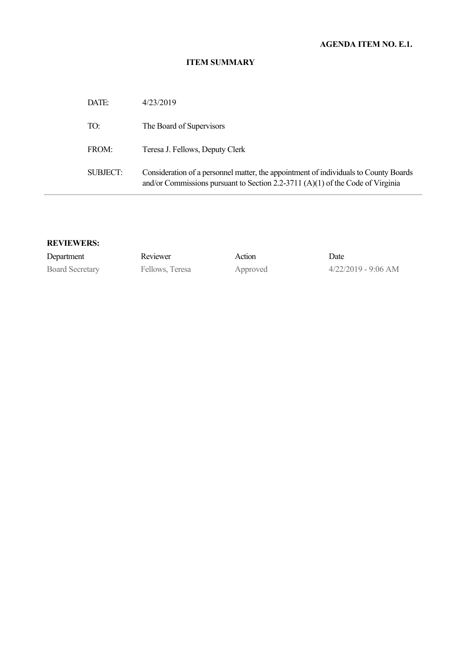| DATE:    | 4/23/2019                                                                                                                                                              |
|----------|------------------------------------------------------------------------------------------------------------------------------------------------------------------------|
| TO:      | The Board of Supervisors                                                                                                                                               |
| FROM:    | Teresa J. Fellows, Deputy Clerk                                                                                                                                        |
| SUBJECT: | Consideration of a personnel matter, the appointment of individuals to County Boards<br>and/or Commissions pursuant to Section 2.2-3711 (A)(1) of the Code of Virginia |

### **REVIEWERS:**

| Department             | Reviewer        | Action   | Date                  |
|------------------------|-----------------|----------|-----------------------|
| <b>Board Secretary</b> | Fellows, Teresa | Approved | $4/22/2019 - 9:06$ AM |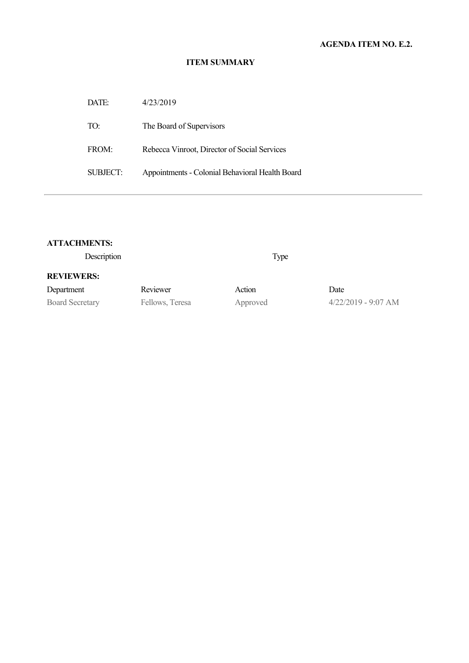| DATE:    | 4/23/2019                                       |
|----------|-------------------------------------------------|
| TO:      | The Board of Supervisors                        |
| FROM:    | Rebecca Vinroot, Director of Social Services    |
| SUBJECT: | Appointments - Colonial Behavioral Health Board |

# **ATTACHMENTS:**

Description Type

# **REVIEWERS:**

Department Reviewer Action Date

Board Secretary Fellows, Teresa Approved 4/22/2019 - 9:07 AM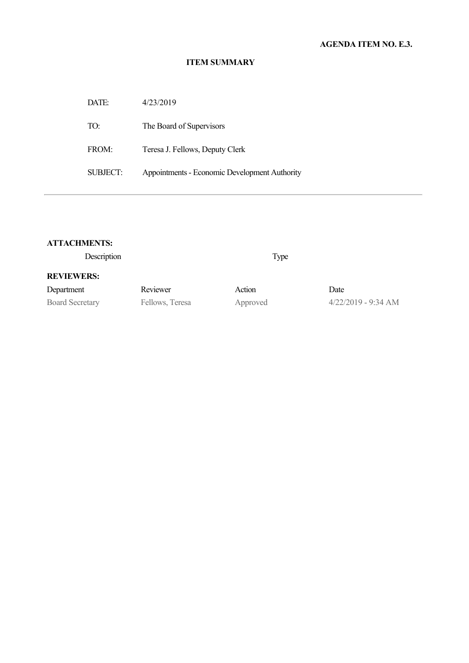| DATE:    | 4/23/2019                                     |
|----------|-----------------------------------------------|
| TO:      | The Board of Supervisors                      |
| FROM:    | Teresa J. Fellows, Deputy Clerk               |
| SUBJECT: | Appointments - Economic Development Authority |

# **ATTACHMENTS:**

Description Type

# **REVIEWERS:**

Department Reviewer Action Date

Board Secretary Fellows, Teresa Approved 4/22/2019 - 9:34 AM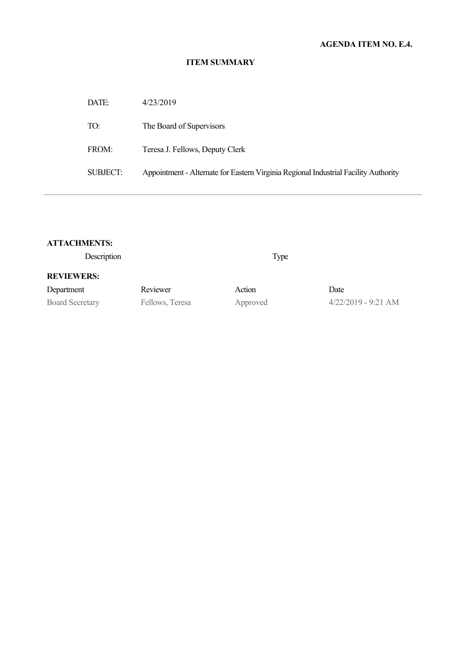| DATE:           | 4/23/2019                                                                           |
|-----------------|-------------------------------------------------------------------------------------|
| TO:             | The Board of Supervisors                                                            |
| FROM:           | Teresa J. Fellows, Deputy Clerk                                                     |
| <b>SUBJECT:</b> | Appointment - Alternate for Eastern Virginia Regional Industrial Facility Authority |
|                 |                                                                                     |

# **ATTACHMENTS:**

Description Type

# **REVIEWERS:**

Department Reviewer Action Date Board Secretary Fellows, Teresa Approved 4/22/2019 - 9:21 AM